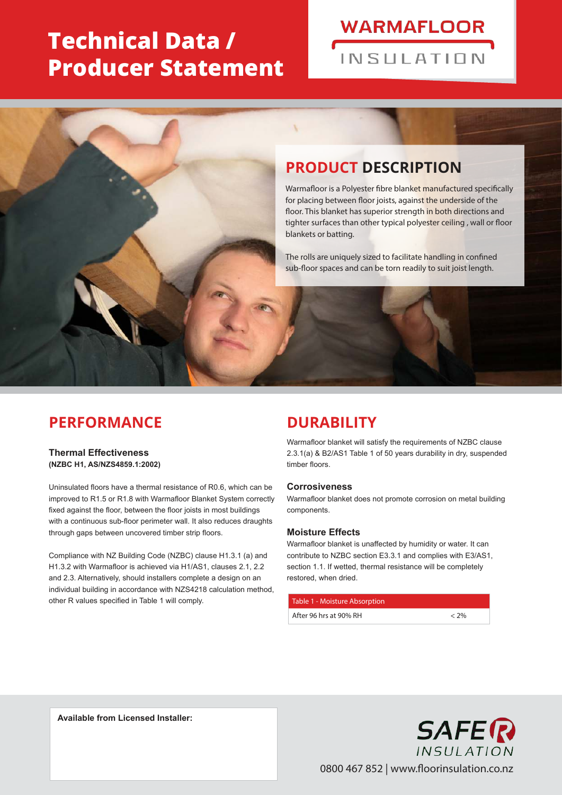# **Technical Data / Producer Statement**

# **WARMAFLOOR** INSIII ATION

# **PRODUCT DESCRIPTION**

Warmafloor is a Polyester fibre blanket manufactured specifically for placing between floor joists, against the underside of the floor. This blanket has superior strength in both directions and tighter surfaces than other typical polyester ceiling , wall or floor blankets or batting.

The rolls are uniquely sized to facilitate handling in confined sub-floor spaces and can be torn readily to suit joist length.

### **PERFORMANCE**

**Thermal Effectiveness (NZBC H1, AS/NZS4859.1:2002)**

Uninsulated floors have a thermal resistance of R0.6, which can be improved to R1.5 or R1.8 with Warmafloor Blanket System correctly fixed against the floor, between the floor joists in most buildings with a continuous sub-floor perimeter wall. It also reduces draughts through gaps between uncovered timber strip floors.

Compliance with NZ Building Code (NZBC) clause H1.3.1 (a) and H1.3.2 with Warmafloor is achieved via H1/AS1, clauses 2.1, 2.2 and 2.3. Alternatively, should installers complete a design on an individual building in accordance with NZS4218 calculation method, other R values specified in Table 1 will comply.

### **DURABILITY**

Warmafloor blanket will satisfy the requirements of NZBC clause 2.3.1(a) & B2/AS1 Table 1 of 50 years durability in dry, suspended timber floors.

#### **Corrosiveness**

Warmafloor blanket does not promote corrosion on metal building components.

#### **Moisture Effects**

Warmafloor blanket is unaffected by humidity or water. It can contribute to NZBC section E3.3.1 and complies with E3/AS1, section 1.1. If wetted, thermal resistance will be completely restored, when dried.

#### Table 1 - Moisture Absorption

| After 96 hrs at 90% RH |  |
|------------------------|--|
|                        |  |

**Available from Licensed Installer:**